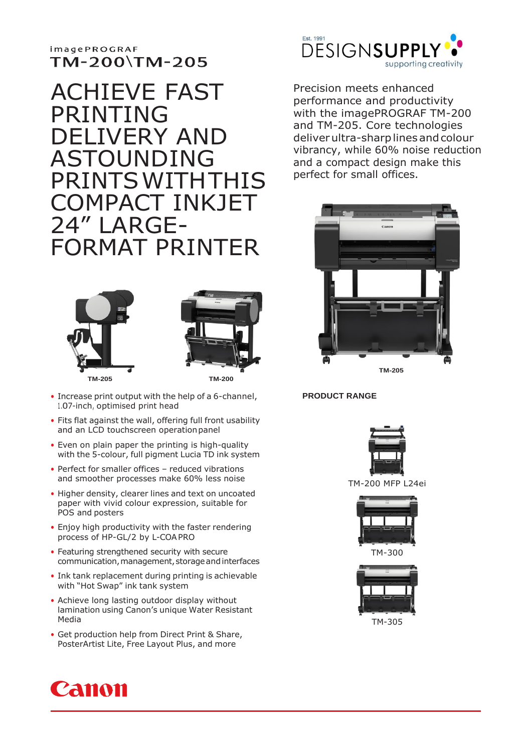## **imagePROGRAF** TM-200\TM-205

# ACHIEVE FAST PRINTING DELIVERY AND ASTOUNDING PRINTSWITHTHIS CT INKJFT 24" LARGE-FORMAT PRINTER





- Increase print output with the help of a 6-channel, 1.07-inch, optimised print head
- Fits flat against the wall, offering full front usability and an LCD touchscreen operationpanel
- Even on plain paper the printing is high-quality with the 5-colour, full pigment Lucia TD ink system
- Perfect for smaller offices reduced vibrations and smoother processes make 60% less noise
- Higher density, clearer lines and text on uncoated paper with vivid colour expression, suitable for POS and posters
- Enjoy high productivity with the faster rendering process of HP-GL/2 by L-COAPRO
- Featuring strengthened security with secure communication, management, storage and interfaces
- Ink tank replacement during printing is achievable with "Hot Swap" ink tank system
- Achieve long lasting outdoor display without lamination using Canon's unique Water Resistant Media
- Get production help from Direct Print & Share, PosterArtist Lite, Free Layout Plus, and more



Precision meets enhanced performance and productivity with the imagePROGRAF TM-200 and TM-205. Core technologies deliver ultra-sharp lines and colour vibrancy, while 60% noise reduction and a compact design make this perfect for small offices.



**PRODUCT RANGE**



TM-200 MFP L24ei



TM-300